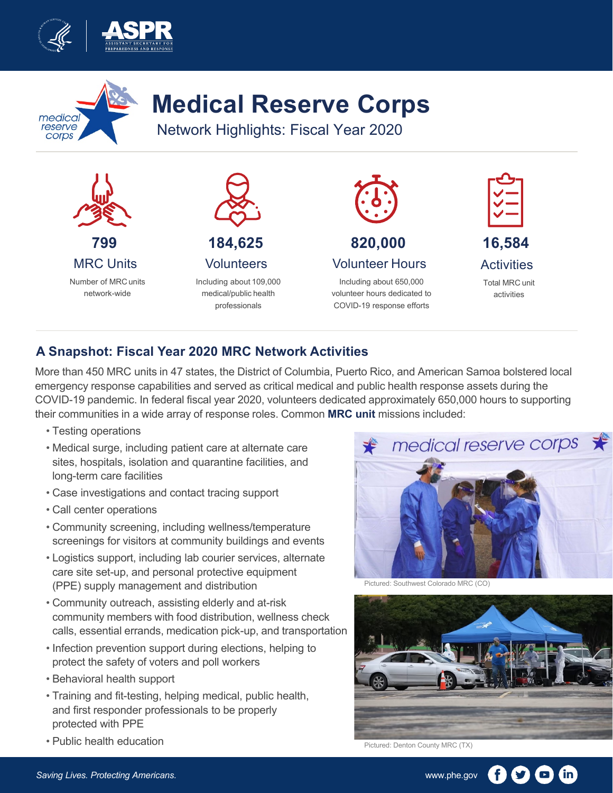



## **Medical Reserve Corps**

Network Highlights: Fiscal Year 2020



## **A Snapshot: Fiscal Year 2020 MRC Network Activities**

More than 450 MRC units in 47 states, the District of Columbia, Puerto Rico, and American Samoa bolstered local emergency response capabilities and served as critical medical and public health response assets during the COVID-19 pandemic. In federal fiscal year 2020, volunteers dedicated approximately 650,000 hours to supporting their communities in a wide array of response roles. Common **MRC unit** missions included:

- Testing operations
- Medical surge, including patient care at alternate care sites, hospitals, isolation and quarantine facilities, and long-term care facilities
- Case investigations and contact tracing support
- Call center operations
- Community screening, including wellness/temperature screenings for visitors at community buildings and events
- Logistics support, including lab courier services, alternate care site set-up, and personal protective equipment (PPE) supply management and distribution
- Community outreach, assisting elderly and at-risk community members with food distribution, wellness check calls, essential errands, medication pick-up, and transportation
- Infection prevention support during elections, helping to protect the safety of voters and poll workers
- Behavioral health support
- Training and fit-testing, helping medical, public health, and first responder professionals to be properly protected with PPE
- Public health education



Pictured: Southwest Colorado MRC (CO)



Pictured: Denton County MRC (TX)

in)